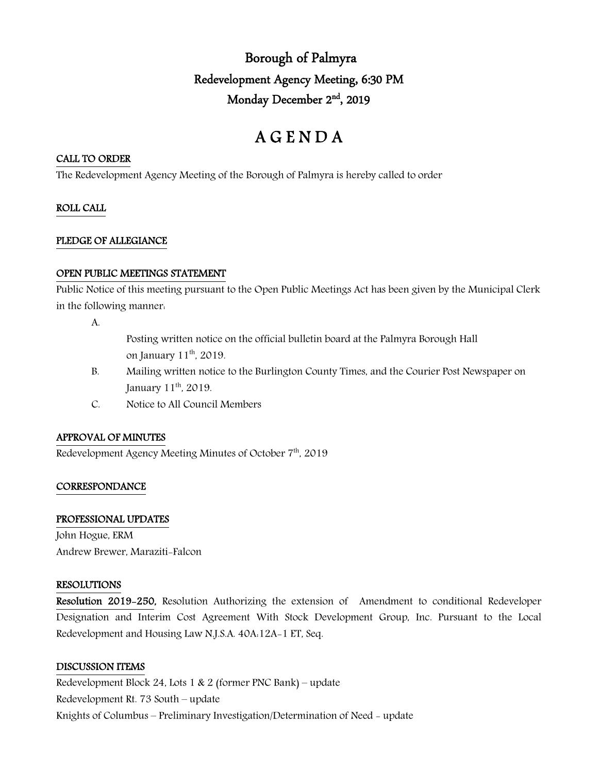## Borough of Palmyra Redevelopment Agency Meeting, 6:30 PM Monday December 2nd, 2019

# A G E N D A

## CALL TO ORDER

The Redevelopment Agency Meeting of the Borough of Palmyra is hereby called to order

## ROLL CALL

#### PLEDGE OF ALLEGIANCE

#### OPEN PUBLIC MEETINGS STATEMENT

Public Notice of this meeting pursuant to the Open Public Meetings Act has been given by the Municipal Clerk in the following manner:

A.

- Posting written notice on the official bulletin board at the Palmyra Borough Hall on January 11th, 2019.
- B. Mailing written notice to the Burlington County Times, and the Courier Post Newspaper on January 11<sup>th</sup>, 2019.
- C. Notice to All Council Members

## APPROVAL OF MINUTES

Redevelopment Agency Meeting Minutes of October 7<sup>th</sup>, 2019

#### **CORRESPONDANCE**

#### PROFESSIONAL UPDATES

John Hogue, ERM Andrew Brewer, Maraziti-Falcon

#### RESOLUTIONS

Resolution 2019-250, Resolution Authorizing the extension of Amendment to conditional Redeveloper Designation and Interim Cost Agreement With Stock Development Group, Inc. Pursuant to the Local Redevelopment and Housing Law N.J.S.A. 40A:12A-1 ET, Seq.

#### DISCUSSION ITEMS

Redevelopment Block 24, Lots 1 & 2 (former PNC Bank) – update Redevelopment Rt. 73 South – update Knights of Columbus – Preliminary Investigation/Determination of Need - update